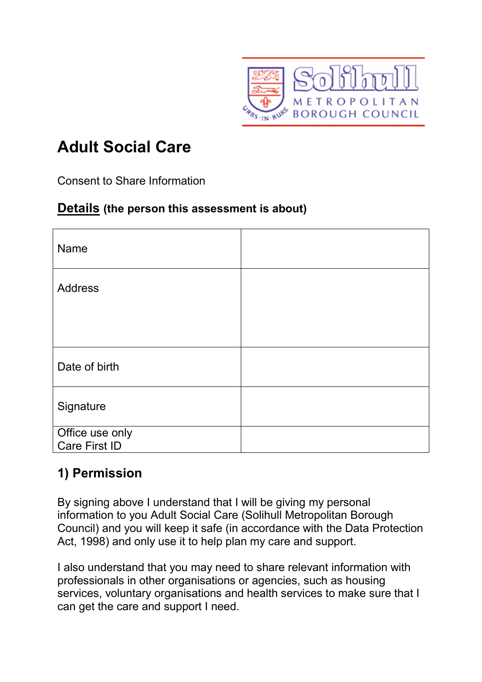

## **Adult Social Care**

Consent to Share Information

## **Details (the person this assessment is about)**

| <b>Name</b>                      |  |
|----------------------------------|--|
| <b>Address</b>                   |  |
|                                  |  |
| Date of birth                    |  |
| Signature                        |  |
| Office use only<br>Care First ID |  |

## **1) Permission**

By signing above I understand that I will be giving my personal information to you Adult Social Care (Solihull Metropolitan Borough Council) and you will keep it safe (in accordance with the Data Protection Act, 1998) and only use it to help plan my care and support.

I also understand that you may need to share relevant information with professionals in other organisations or agencies, such as housing services, voluntary organisations and health services to make sure that I can get the care and support I need.